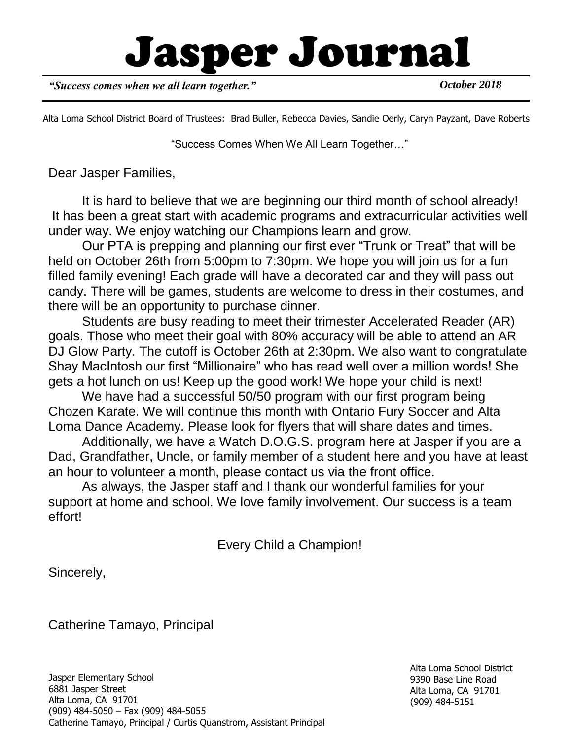# Jasper Journal

*"Success comes when we all learn together."*

*October 2018*

Alta Loma School District Board of Trustees: Brad Buller, Rebecca Davies, Sandie Oerly, Caryn Payzant, Dave Roberts

"Success Comes When We All Learn Together…"

Dear Jasper Families,

It is hard to believe that we are beginning our third month of school already! It has been a great start with academic programs and extracurricular activities well under way. We enjoy watching our Champions learn and grow.

Our PTA is prepping and planning our first ever "Trunk or Treat" that will be held on October 26th from 5:00pm to 7:30pm. We hope you will join us for a fun filled family evening! Each grade will have a decorated car and they will pass out candy. There will be games, students are welcome to dress in their costumes, and there will be an opportunity to purchase dinner.

Students are busy reading to meet their trimester Accelerated Reader (AR) goals. Those who meet their goal with 80% accuracy will be able to attend an AR DJ Glow Party. The cutoff is October 26th at 2:30pm. We also want to congratulate Shay MacIntosh our first "Millionaire" who has read well over a million words! She gets a hot lunch on us! Keep up the good work! We hope your child is next!

We have had a successful 50/50 program with our first program being Chozen Karate. We will continue this month with Ontario Fury Soccer and Alta Loma Dance Academy. Please look for flyers that will share dates and times.

Additionally, we have a Watch D.O.G.S. program here at Jasper if you are a Dad, Grandfather, Uncle, or family member of a student here and you have at least an hour to volunteer a month, please contact us via the front office.

As always, the Jasper staff and I thank our wonderful families for your support at home and school. We love family involvement. Our success is a team effort!

Every Child a Champion!

Sincerely,

Catherine Tamayo, Principal

Jasper Elementary School 6881 Jasper Street Alta Loma, CA 91701 (909) 484-5050 – Fax (909) 484-5055 Catherine Tamayo, Principal / Curtis Quanstrom, Assistant Principal Alta Loma School District 9390 Base Line Road Alta Loma, CA 91701 (909) 484-5151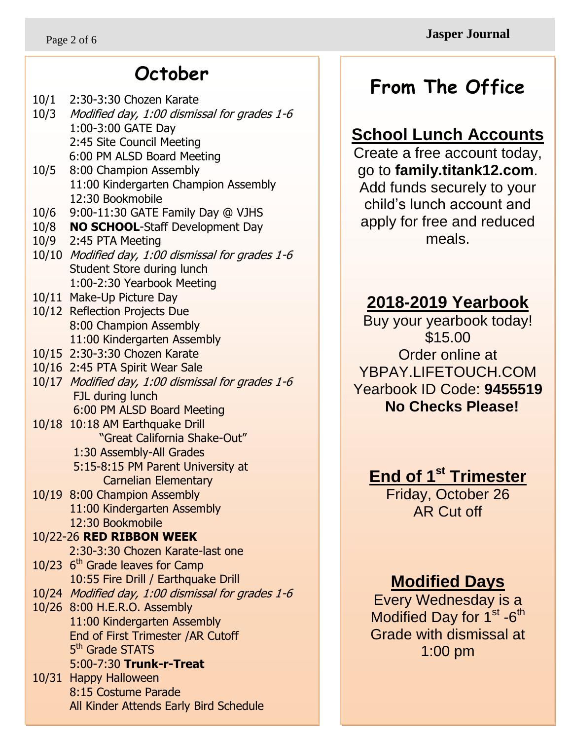#### **October**

- 10/1 2:30-3:30 Chozen Karate 10/3 Modified day, 1:00 dismissal for grades 1-6 1:00-3:00 GATE Day 2:45 Site Council Meeting 6:00 PM ALSD Board Meeting
- 10/5 8:00 Champion Assembly 11:00 Kindergarten Champion Assembly 12:30 Bookmobile
- 10/6 9:00-11:30 GATE Family Day @ VJHS
- 10/8 **NO SCHOOL**-Staff Development Day
- 10/9 2:45 PTA Meeting
- 10/10 Modified day, 1:00 dismissal for grades 1-6 Student Store during lunch 1:00-2:30 Yearbook Meeting
- 10/11 Make-Up Picture Day
- 10/12 Reflection Projects Due 8:00 Champion Assembly 11:00 Kindergarten Assembly
- 10/15 2:30-3:30 Chozen Karate
- 10/16 2:45 PTA Spirit Wear Sale
- 10/17 Modified day, 1:00 dismissal for grades 1-6 FJL during lunch 6:00 PM ALSD Board Meeting
- 10/18 10:18 AM Earthquake Drill "Great California Shake-Out" 1:30 Assembly-All Grades
	- 5:15-8:15 PM Parent University at Carnelian Elementary
- 10/19 8:00 Champion Assembly 11:00 Kindergarten Assembly 12:30 Bookmobile
- 10/22-26 **RED RIBBON WEEK** 2:30-3:30 Chozen Karate-last one
- 10/23 6<sup>th</sup> Grade leaves for Camp 10:55 Fire Drill / Earthquake Drill
- 10/24 Modified day, 1:00 dismissal for grades 1-6
- 10/26 8:00 H.E.R.O. Assembly 11:00 Kindergarten Assembly End of First Trimester /AR Cutoff 5<sup>th</sup> Grade STATS 5:00-7:30 **Trunk-r-Treat**
- 10/31 Happy Halloween 8:15 Costume Parade All Kinder Attends Early Bird Schedule

l

#### **From The Office**

#### **School Lunch Accounts**

 go to **family.titank12.com**. Create a free account today, Add funds securely to your child's lunch account and apply for free and reduced meals.

#### **2018-2019 Yearbook**

Buy your yearbook today! \$15.00 Order online at YBPAY.LIFETOUCH.COM Yearbook ID Code: **9455519 No Checks Please!**

#### **End of 1st Trimester**

Friday, October 26 AR Cut off

#### **Modified Days**

Every Wednesday is a Modified Day for  $1^{st}$  -6<sup>th</sup> Grade with dismissal at 1:00 pm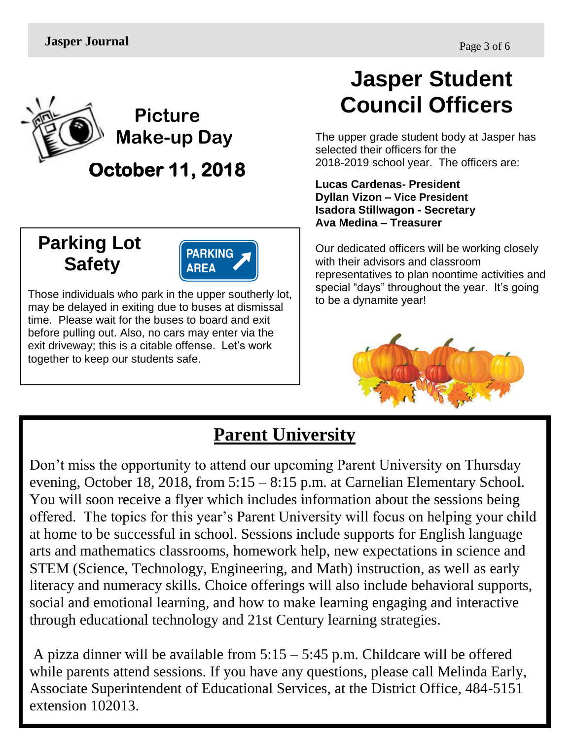

#### **Parking Lot Safety**



Those individuals who park in the upper southerly lot, may be delayed in exiting due to buses at dismissal time. Please wait for the buses to board and exit before pulling out. Also, no cars may enter via the exit driveway; this is a citable offense. Let's work together to keep our students safe.

#### **Jasper Student Council Officers**

The upper grade student body at Jasper has selected their officers for the 2018-2019 school year. The officers are:

**Lucas Cardenas- President Dyllan Vizon – Vice President Isadora Stillwagon - Secretary Ava Medina – Treasurer**

Our dedicated officers will be working closely with their advisors and classroom representatives to plan noontime activities and special "days" throughout the year. It's going to be a dynamite year!



#### **Parent University**

Don't miss the opportunity to attend our upcoming Parent University on Thursday evening, October 18, 2018, from 5:15 – 8:15 p.m. at Carnelian Elementary School. You will soon receive a flyer which includes information about the sessions being offered. The topics for this year's Parent University will focus on helping your child at home to be successful in school. Sessions include supports for English language arts and mathematics classrooms, homework help, new expectations in science and STEM (Science, Technology, Engineering, and Math) instruction, as well as early literacy and numeracy skills. Choice offerings will also include behavioral supports, social and emotional learning, and how to make learning engaging and interactive through educational technology and 21st Century learning strategies.

A pizza dinner will be available from 5:15 – 5:45 p.m. Childcare will be offered while parents attend sessions. If you have any questions, please call Melinda Early, Associate Superintendent of Educational Services, at the District Office, 484-5151 extension 102013.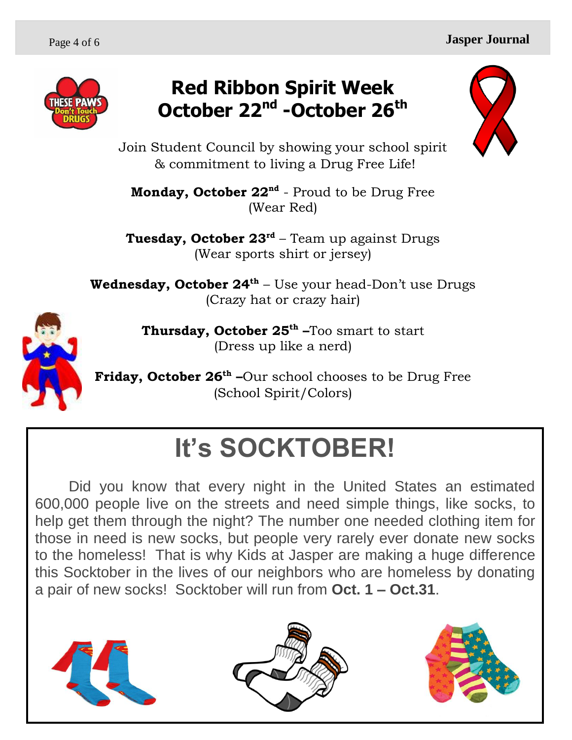

#### **Red Ribbon Spirit Week October 22 nd -October 26th**



Join Student Council by showing your school spirit & commitment to living a Drug Free Life!

**Monday, October 22nd** - Proud to be Drug Free (Wear Red)

**Tuesday, October 23<sup>rd</sup> –** Team up against Drugs (Wear sports shirt or jersey)

**Wednesday, October 24 th** – Use your head-Don't use Drugs (Crazy hat or crazy hair)



**Thursday, October 25th –**Too smart to start (Dress up like a nerd)

**Friday, October 26th –**Our school chooses to be Drug Free (School Spirit/Colors)

## **It's SOCKTOBER!**

Did you know that every night in the United States an estimated 600,000 people live on the streets and need simple things, like socks, to help get them through the night? The number one needed clothing item for those in need is new socks, but people very rarely ever donate new socks to the homeless! That is why Kids at Jasper are making a huge difference this Socktober in the lives of our neighbors who are homeless by donating a pair of new socks! Socktober will run from **Oct. 1 – Oct.31**.





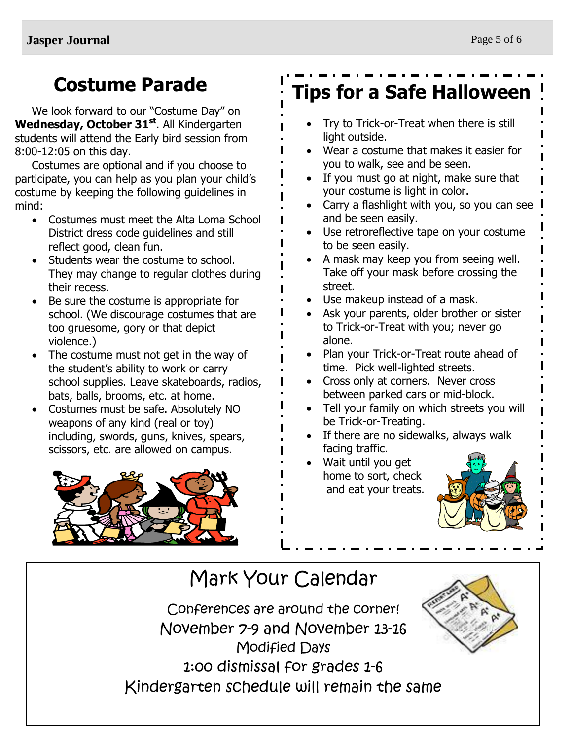#### **Costume Parade**

We look forward to our "Costume Day" on **Wednesday, October 31st**. All Kindergarten students will attend the Early bird session from 8:00-12:05 on this day.

Costumes are optional and if you choose to participate, you can help as you plan your child's costume by keeping the following guidelines in mind:

- Costumes must meet the Alta Loma School District dress code guidelines and still reflect good, clean fun.
- Students wear the costume to school. They may change to regular clothes during their recess.
- Be sure the costume is appropriate for school. (We discourage costumes that are too gruesome, gory or that depict violence.)
- The costume must not get in the way of the student's ability to work or carry school supplies. Leave skateboards, radios, bats, balls, brooms, etc. at home.
- Costumes must be safe. Absolutely NO weapons of any kind (real or toy) including, swords, guns, knives, spears, scissors, etc. are allowed on campus.



## **Tips for a Safe Halloween**

- Try to Trick-or-Treat when there is still light outside.
- Wear a costume that makes it easier for you to walk, see and be seen.
- If you must go at night, make sure that your costume is light in color.
- Carry a flashlight with you, so you can see and be seen easily.
- Use retroreflective tape on your costume to be seen easily.
- A mask may keep you from seeing well. Take off your mask before crossing the street.
- Use makeup instead of a mask.
- Ask your parents, older brother or sister to Trick-or-Treat with you; never go alone.
- Plan your Trick-or-Treat route ahead of time. Pick well-lighted streets.
- Cross only at corners. Never cross between parked cars or mid-block.
- Tell your family on which streets you will be Trick-or-Treating.
- If there are no sidewalks, always walk facing traffic.
- Wait until you get home to sort, check and eat your treats.



### Mark Your Calendar

Conferences are around the corner! November 7-9 and November 13-16 Modified Days 1:00 dismissal for grades 1-6 Kindergarten schedule will remain the same